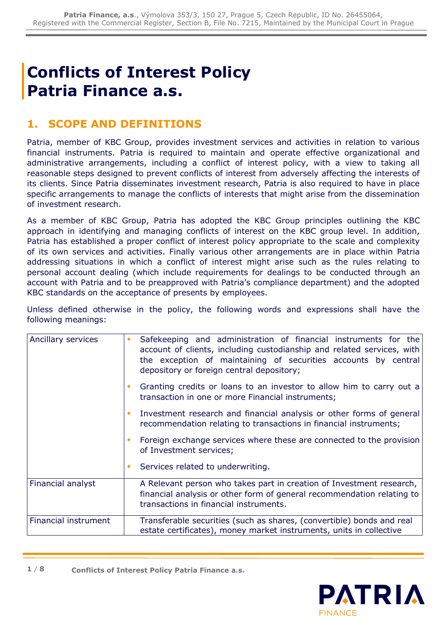# **Conflicts of Interest Policy Patria Finance a.s.**

### **1. SCOPE AND DEFINITIONS**

Patria, member of KBC Group, provides investment services and activities in relation to various financial instruments. Patria is required to maintain and operate effective organizational and administrative arrangements, including a conflict of interest policy, with a view to taking all reasonable steps designed to prevent conflicts of interest from adversely affecting the interests of its clients. Since Patria disseminates investment research, Patria is also required to have in place specific arrangements to manage the conflicts of interests that might arise from the dissemination of investment research.

As a member of KBC Group, Patria has adopted the KBC Group principles outlining the KBC approach in identifying and managing conflicts of interest on the KBC group level. In addition, Patria has established a proper conflict of interest policy appropriate to the scale and complexity of its own services and activities. Finally various other arrangements are in place within Patria addressing situations in which a conflict of interest might arise such as the rules relating to personal account dealing (which include requirements for dealings to be conducted through an account with Patria and to be preapproved with Patria's compliance department) and the adopted KBC standards on the acceptance of presents by employees.

Unless defined otherwise in the policy, the following words and expressions shall have the following meanings:

| Ancillary services   | Safekeeping and administration of financial instruments for the<br>account of clients, including custodianship and related services, with<br>the exception of maintaining of securities accounts by central<br>depository or foreign central depository; |  |  |
|----------------------|----------------------------------------------------------------------------------------------------------------------------------------------------------------------------------------------------------------------------------------------------------|--|--|
|                      | Granting credits or loans to an investor to allow him to carry out a<br>transaction in one or more Financial instruments;                                                                                                                                |  |  |
|                      | Investment research and financial analysis or other forms of general<br>recommendation relating to transactions in financial instruments;                                                                                                                |  |  |
|                      | Foreign exchange services where these are connected to the provision<br>of Investment services;                                                                                                                                                          |  |  |
|                      | Services related to underwriting.                                                                                                                                                                                                                        |  |  |
| Financial analyst    | A Relevant person who takes part in creation of Investment research,<br>financial analysis or other form of general recommendation relating to<br>transactions in financial instruments.                                                                 |  |  |
| Financial instrument | Transferable securities (such as shares, (convertible) bonds and real<br>estate certificates), money market instruments, units in collective                                                                                                             |  |  |

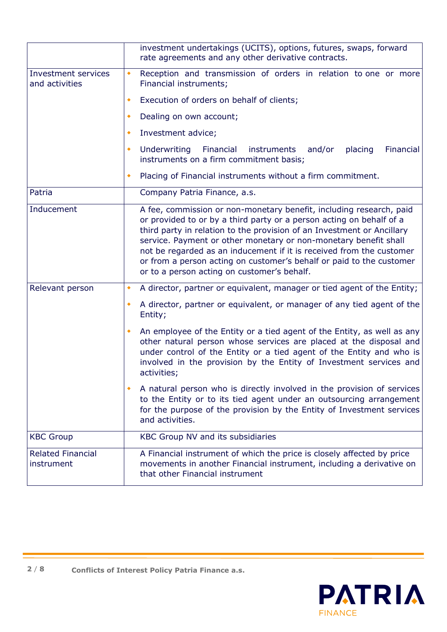|                                              | investment undertakings (UCITS), options, futures, swaps, forward<br>rate agreements and any other derivative contracts.                                                                                                                                                                                                                                                                                                                                                                 |  |  |
|----------------------------------------------|------------------------------------------------------------------------------------------------------------------------------------------------------------------------------------------------------------------------------------------------------------------------------------------------------------------------------------------------------------------------------------------------------------------------------------------------------------------------------------------|--|--|
| <b>Investment services</b><br>and activities | Reception and transmission of orders in relation to one or more<br>۰<br>Financial instruments;                                                                                                                                                                                                                                                                                                                                                                                           |  |  |
|                                              | Execution of orders on behalf of clients;<br>٠                                                                                                                                                                                                                                                                                                                                                                                                                                           |  |  |
|                                              | Dealing on own account;<br>٠                                                                                                                                                                                                                                                                                                                                                                                                                                                             |  |  |
|                                              | Investment advice;<br>٠                                                                                                                                                                                                                                                                                                                                                                                                                                                                  |  |  |
|                                              | Underwriting<br>placing<br>Financial<br>Financial<br>instruments<br>and/or<br>٠<br>instruments on a firm commitment basis;                                                                                                                                                                                                                                                                                                                                                               |  |  |
|                                              | Placing of Financial instruments without a firm commitment.<br>٠                                                                                                                                                                                                                                                                                                                                                                                                                         |  |  |
| Patria                                       | Company Patria Finance, a.s.                                                                                                                                                                                                                                                                                                                                                                                                                                                             |  |  |
| Inducement                                   | A fee, commission or non-monetary benefit, including research, paid<br>or provided to or by a third party or a person acting on behalf of a<br>third party in relation to the provision of an Investment or Ancillary<br>service. Payment or other monetary or non-monetary benefit shall<br>not be regarded as an inducement if it is received from the customer<br>or from a person acting on customer's behalf or paid to the customer<br>or to a person acting on customer's behalf. |  |  |
| Relevant person                              | A director, partner or equivalent, manager or tied agent of the Entity;<br>٠                                                                                                                                                                                                                                                                                                                                                                                                             |  |  |
|                                              | A director, partner or equivalent, or manager of any tied agent of the<br>٠<br>Entity;                                                                                                                                                                                                                                                                                                                                                                                                   |  |  |
|                                              | An employee of the Entity or a tied agent of the Entity, as well as any<br>٠<br>other natural person whose services are placed at the disposal and<br>under control of the Entity or a tied agent of the Entity and who is<br>involved in the provision by the Entity of Investment services and<br>activities;                                                                                                                                                                          |  |  |
|                                              | A natural person who is directly involved in the provision of services<br>٠<br>to the Entity or to its tied agent under an outsourcing arrangement<br>for the purpose of the provision by the Entity of Investment services<br>and activities.                                                                                                                                                                                                                                           |  |  |
| <b>KBC Group</b>                             | KBC Group NV and its subsidiaries                                                                                                                                                                                                                                                                                                                                                                                                                                                        |  |  |
| <b>Related Financial</b><br>instrument       | A Financial instrument of which the price is closely affected by price<br>movements in another Financial instrument, including a derivative on<br>that other Financial instrument                                                                                                                                                                                                                                                                                                        |  |  |

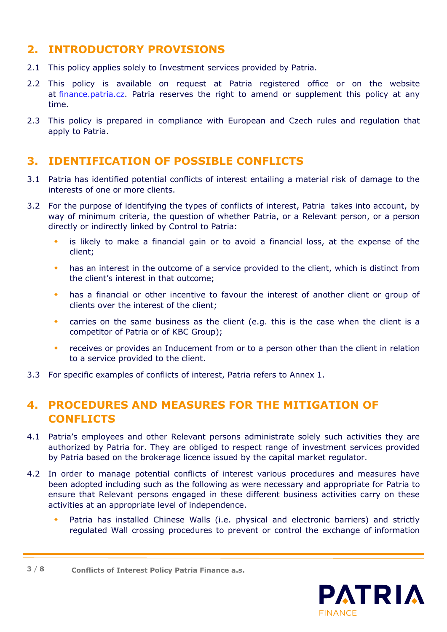#### **2. INTRODUCTORY PROVISIONS**

- 2.1 This policy applies solely to Investment services provided by Patria.
- 2.2 This policy is available on request at Patria registered office or on the website at [finance.patria.cz.](https://finance.patria.cz/en) Patria reserves the right to amend or supplement this policy at any time.
- 2.3 This policy is prepared in compliance with European and Czech rules and regulation that apply to Patria.

#### **3. IDENTIFICATION OF POSSIBLE CONFLICTS**

- 3.1 Patria has identified potential conflicts of interest entailing a material risk of damage to the interests of one or more clients.
- 3.2 For the purpose of identifying the types of conflicts of interest, Patria takes into account, by way of minimum criteria, the question of whether Patria, or a Relevant person, or a person directly or indirectly linked by Control to Patria:
	- is likely to make a financial gain or to avoid a financial loss, at the expense of the client;
	- has an interest in the outcome of a service provided to the client, which is distinct from the client's interest in that outcome;
	- has a financial or other incentive to favour the interest of another client or group of clients over the interest of the client;
	- carries on the same business as the client (e.g. this is the case when the client is a competitor of Patria or of KBC Group);
	- receives or provides an Inducement from or to a person other than the client in relation to a service provided to the client.
- 3.3 For specific examples of conflicts of interest, Patria refers to Annex 1.

#### **4. PROCEDURES AND MEASURES FOR THE MITIGATION OF CONFLICTS**

- 4.1 Patria's employees and other Relevant persons administrate solely such activities they are authorized by Patria for. They are obliged to respect range of investment services provided by Patria based on the brokerage licence issued by the capital market regulator.
- 4.2 In order to manage potential conflicts of interest various procedures and measures have been adopted including such as the following as were necessary and appropriate for Patria to ensure that Relevant persons engaged in these different business activities carry on these activities at an appropriate level of independence.
	- Patria has installed Chinese Walls (i.e. physical and electronic barriers) and strictly regulated Wall crossing procedures to prevent or control the exchange of information

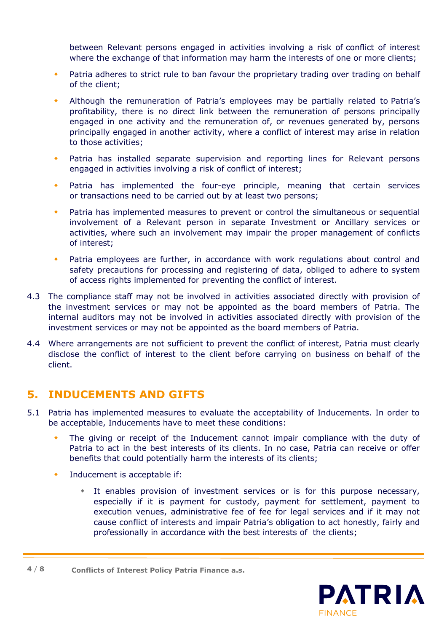between Relevant persons engaged in activities involving a risk of conflict of interest where the exchange of that information may harm the interests of one or more clients;

- Patria adheres to strict rule to ban favour the proprietary trading over trading on behalf of the client;
- Although the remuneration of Patria's employees may be partially related to Patria's profitability, there is no direct link between the remuneration of persons principally engaged in one activity and the remuneration of, or revenues generated by, persons principally engaged in another activity, where a conflict of interest may arise in relation to those activities;
- Patria has installed separate supervision and reporting lines for Relevant persons engaged in activities involving a risk of conflict of interest;
- Patria has implemented the four-eye principle, meaning that certain services or transactions need to be carried out by at least two persons;
- Patria has implemented measures to prevent or control the simultaneous or sequential involvement of a Relevant person in separate Investment or Ancillary services or activities, where such an involvement may impair the proper management of conflicts of interest;
- Patria employees are further, in accordance with work regulations about control and safety precautions for processing and registering of data, obliged to adhere to system of access rights implemented for preventing the conflict of interest.
- 4.3 The compliance staff may not be involved in activities associated directly with provision of the investment services or may not be appointed as the board members of Patria. The internal auditors may not be involved in activities associated directly with provision of the investment services or may not be appointed as the board members of Patria.
- 4.4 Where arrangements are not sufficient to prevent the conflict of interest, Patria must clearly disclose the conflict of interest to the client before carrying on business on behalf of the client.

#### **5. INDUCEMENTS AND GIFTS**

- 5.1 Patria has implemented measures to evaluate the acceptability of Inducements. In order to be acceptable, Inducements have to meet these conditions:
	- The giving or receipt of the Inducement cannot impair compliance with the duty of Patria to act in the best interests of its clients. In no case, Patria can receive or offer benefits that could potentially harm the interests of its clients;
	- Inducement is acceptable if:
		- It enables provision of investment services or is for this purpose necessary, especially if it is payment for custody, payment for settlement, payment to execution venues, administrative fee of fee for legal services and if it may not cause conflict of interests and impair Patria's obligation to act honestly, fairly and professionally in accordance with the best interests of the clients;

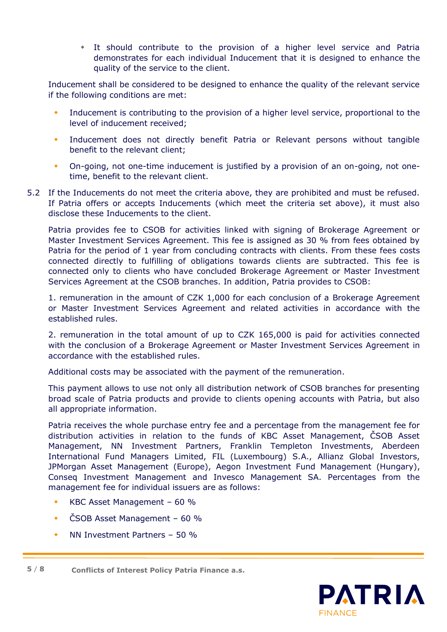It should contribute to the provision of a higher level service and Patria demonstrates for each individual Inducement that it is designed to enhance the quality of the service to the client.

Inducement shall be considered to be designed to enhance the quality of the relevant service if the following conditions are met:

- Inducement is contributing to the provision of a higher level service, proportional to the level of inducement received;
- Inducement does not directly benefit Patria or Relevant persons without tangible benefit to the relevant client;
- On-going, not one-time inducement is justified by a provision of an on-going, not onetime, benefit to the relevant client.
- 5.2 If the Inducements do not meet the criteria above, they are prohibited and must be refused. If Patria offers or accepts Inducements (which meet the criteria set above), it must also disclose these Inducements to the client.

Patria provides fee to CSOB for activities linked with signing of Brokerage Agreement or Master Investment Services Agreement. This fee is assigned as 30 % from fees obtained by Patria for the period of 1 year from concluding contracts with clients. From these fees costs connected directly to fulfilling of obligations towards clients are subtracted. This fee is connected only to clients who have concluded Brokerage Agreement or Master Investment Services Agreement at the CSOB branches. In addition, Patria provides to CSOB:

1. remuneration in the amount of CZK 1,000 for each conclusion of a Brokerage Agreement or Master Investment Services Agreement and related activities in accordance with the established rules.

2. remuneration in the total amount of up to CZK 165,000 is paid for activities connected with the conclusion of a Brokerage Agreement or Master Investment Services Agreement in accordance with the established rules.

Additional costs may be associated with the payment of the remuneration.

This payment allows to use not only all distribution network of CSOB branches for presenting broad scale of Patria products and provide to clients opening accounts with Patria, but also all appropriate information.

Patria receives the whole purchase entry fee and a percentage from the management fee for distribution activities in relation to the funds of KBC Asset Management, ČSOB Asset Management, NN Investment Partners, Franklin Templeton Investments, Aberdeen International Fund Managers Limited, FIL (Luxembourg) S.A., Allianz Global Investors, JPMorgan Asset Management (Europe), Aegon Investment Fund Management (Hungary), Conseq Investment Management and Invesco Management SA. Percentages from the management fee for individual issuers are as follows:

- KBC Asset Management 60 %
- ČSOB Asset Management 60 %
- NN Investment Partners 50 %



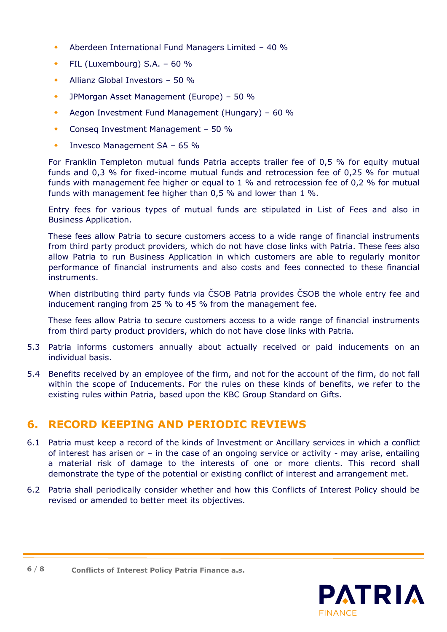- Aberdeen International Fund Managers Limited 40 %
- FIL (Luxembourg)  $S.A. 60\%$
- Allianz Global Investors 50 %
- ◆ JPMorgan Asset Management (Europe) 50 %
- Aegon Investment Fund Management (Hungary) 60 %
- Conseq Investment Management 50 %
- Invesco Management SA 65 %

For Franklin Templeton mutual funds Patria accepts trailer fee of 0,5 % for equity mutual funds and 0,3 % for fixed-income mutual funds and retrocession fee of 0,25 % for mutual funds with management fee higher or equal to 1 % and retrocession fee of 0,2 % for mutual funds with management fee higher than 0,5 % and lower than 1 %.

Entry fees for various types of mutual funds are stipulated in List of Fees and also in Business Application.

These fees allow Patria to secure customers access to a wide range of financial instruments from third party product providers, which do not have close links with Patria. These fees also allow Patria to run Business Application in which customers are able to regularly monitor performance of financial instruments and also costs and fees connected to these financial instruments.

When distributing third party funds via ČSOB Patria provides ČSOB the whole entry fee and inducement ranging from 25 % to 45 % from the management fee.

These fees allow Patria to secure customers access to a wide range of financial instruments from third party product providers, which do not have close links with Patria.

- 5.3 Patria informs customers annually about actually received or paid inducements on an individual basis.
- 5.4 Benefits received by an employee of the firm, and not for the account of the firm, do not fall within the scope of Inducements. For the rules on these kinds of benefits, we refer to the existing rules within Patria, based upon the KBC Group Standard on Gifts.

#### **6. RECORD KEEPING AND PERIODIC REVIEWS**

- 6.1 Patria must keep a record of the kinds of Investment or Ancillary services in which a conflict of interest has arisen or – in the case of an ongoing service or activity - may arise, entailing a material risk of damage to the interests of one or more clients. This record shall demonstrate the type of the potential or existing conflict of interest and arrangement met.
- 6.2 Patria shall periodically consider whether and how this Conflicts of Interest Policy should be revised or amended to better meet its objectives.

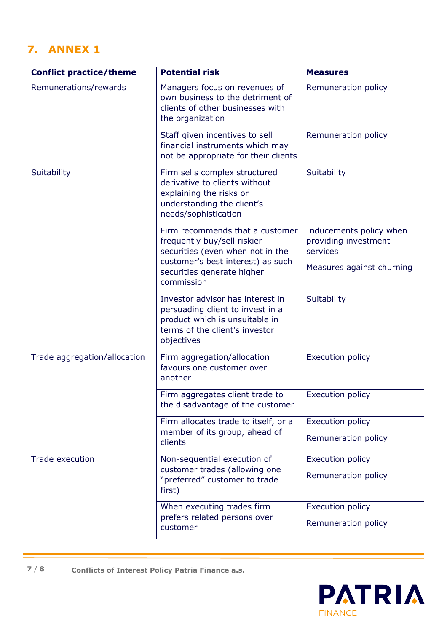## **7. ANNEX 1**

| <b>Conflict practice/theme</b> | <b>Potential risk</b>                                                                                                                                                               | <b>Measures</b>                                                                          |
|--------------------------------|-------------------------------------------------------------------------------------------------------------------------------------------------------------------------------------|------------------------------------------------------------------------------------------|
| Remunerations/rewards          | Managers focus on revenues of<br>own business to the detriment of<br>clients of other businesses with<br>the organization                                                           | Remuneration policy                                                                      |
|                                | Staff given incentives to sell<br>financial instruments which may<br>not be appropriate for their clients                                                                           | Remuneration policy                                                                      |
| Suitability                    | Firm sells complex structured<br>derivative to clients without<br>explaining the risks or<br>understanding the client's<br>needs/sophistication                                     | Suitability                                                                              |
|                                | Firm recommends that a customer<br>frequently buy/sell riskier<br>securities (even when not in the<br>customer's best interest) as such<br>securities generate higher<br>commission | Inducements policy when<br>providing investment<br>services<br>Measures against churning |
|                                | Investor advisor has interest in<br>persuading client to invest in a<br>product which is unsuitable in<br>terms of the client's investor<br>objectives                              | Suitability                                                                              |
| Trade aggregation/allocation   | Firm aggregation/allocation<br>favours one customer over<br>another                                                                                                                 | <b>Execution policy</b>                                                                  |
|                                | Firm aggregates client trade to<br>the disadvantage of the customer                                                                                                                 | <b>Execution policy</b>                                                                  |
|                                | Firm allocates trade to itself, or a<br>member of its group, ahead of<br>clients                                                                                                    | <b>Execution policy</b><br>Remuneration policy                                           |
| <b>Trade execution</b>         | Non-sequential execution of<br>customer trades (allowing one<br>"preferred" customer to trade<br>first)                                                                             | <b>Execution policy</b><br>Remuneration policy                                           |
|                                | When executing trades firm<br>prefers related persons over<br>customer                                                                                                              | <b>Execution policy</b><br>Remuneration policy                                           |